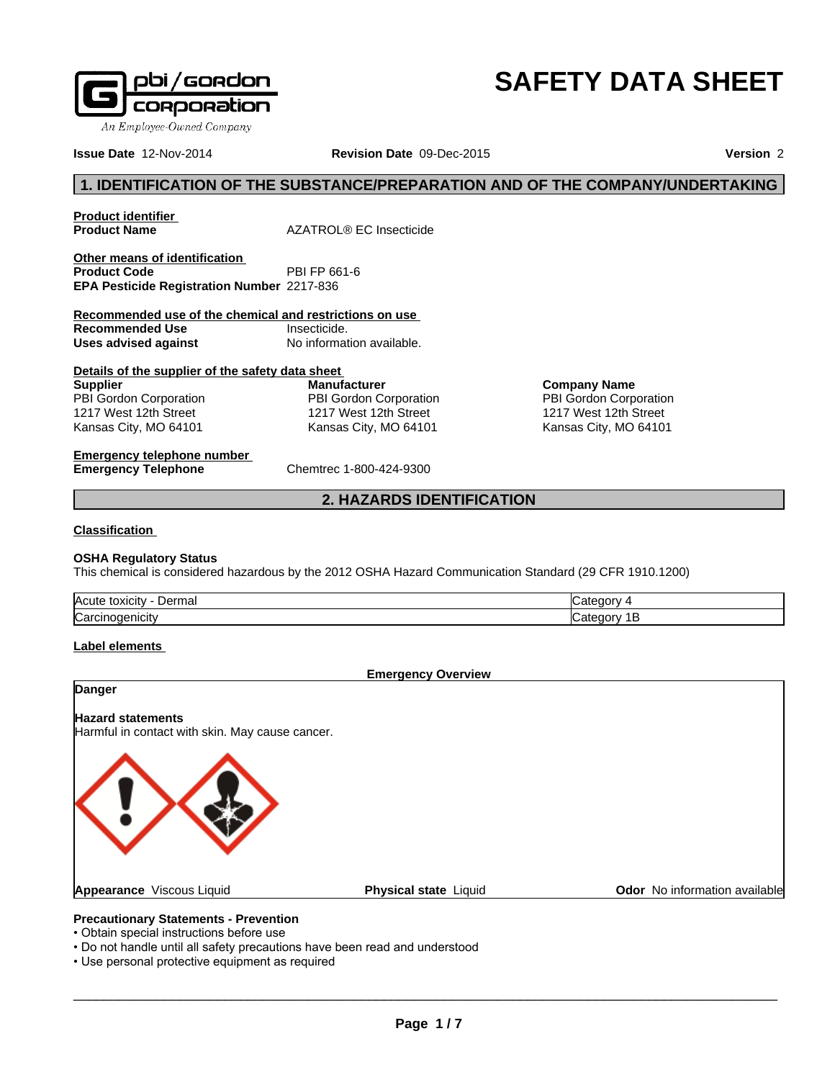

# **SAFETY DATA SHEET**

**Company Name** PBI Gordon Corporation 1217 West 12th Street Kansas City, MO 64101

**Issue Date** 12-Nov-2014 **Revision Date** 09-Dec-2015

**Version** 2

### **1. IDENTIFICATION OF THE SUBSTANCE/PREPARATION AND OF THE COMPANY/UNDERTAKING**

**Product identifier** 

**Product Name** AZATROL® EC Insecticide

**Other means of identification**<br>**Product Code** PBI FP 661-6 **Product Code EPA Pesticide Registration Number** 2217-836

**Recommended use of the chemical and restrictions on use Recommended Use Insecticide.**<br> **Uses advised against International Mo** information available. **Uses advised against** 

| Details of the supplier of the safety data sheet |                        |  |  |
|--------------------------------------------------|------------------------|--|--|
| <b>Supplier</b>                                  | <b>Manufacturer</b>    |  |  |
| PBI Gordon Corporation                           | PBI Gordon Corporation |  |  |
| 1217 West 12th Street                            | 1217 West 12th Street  |  |  |
| Kansas City, MO 64101                            | Kansas City, MO 64101  |  |  |

**Emergency telephone number Emergency Telephone** Chemtrec 1-800-424-9300

#### **2. HAZARDS IDENTIFICATION**

#### **Classification**

#### **OSHA Regulatory Status**

This chemical is considered hazardous by the 2012 OSHA Hazard Communication Standard (29 CFR 1910.1200)

| lAcute<br>⊃ermal<br>.<br><b>TOXICITY</b> |   |
|------------------------------------------|---|
| Carcir<br>noaenicit                      | ь |

#### **Label elements**

**Emergency Overview**

### **Danger**

**Hazard statements**

Harmful in contact with skin. May cause cancer.



#### **Precautionary Statements - Prevention**

- Obtain special instructions before use
- Do not handle until all safety precautions have been read and understood
- Use personal protective equipment as required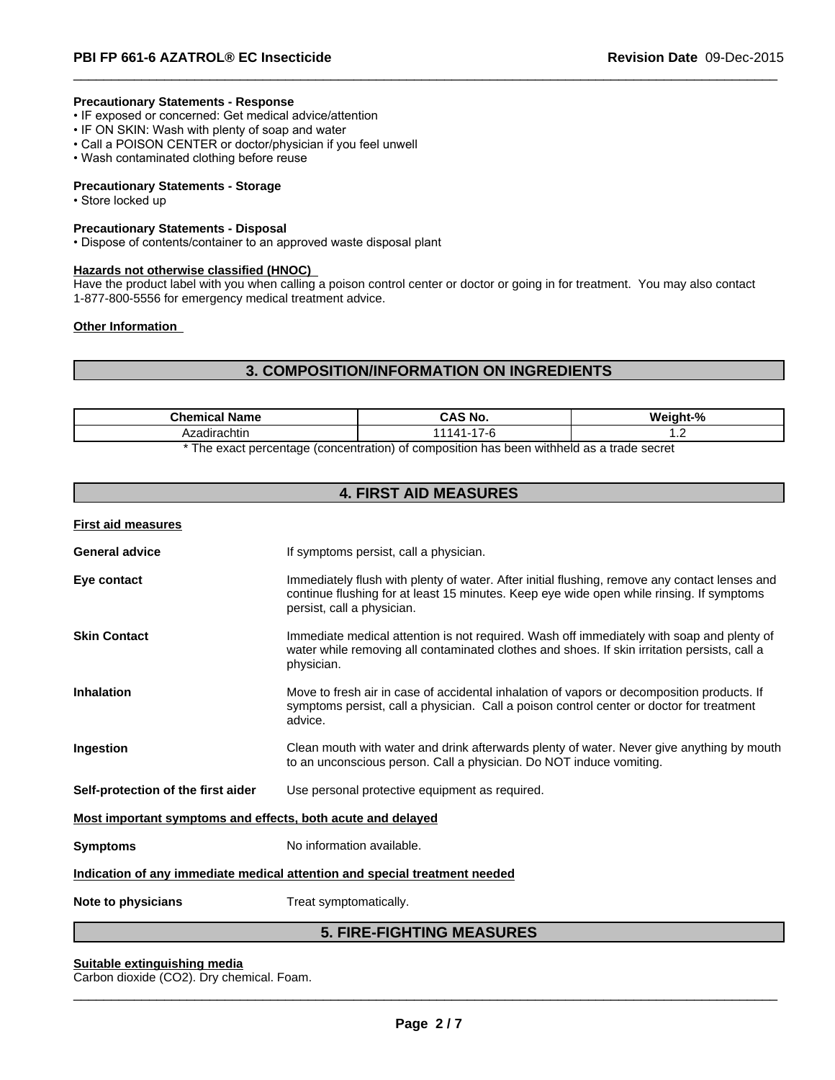#### **Precautionary Statements - Response**

- IF exposed or concerned: Get medical advice/attention
- IF ON SKIN: Wash with plenty of soap and water
- Call a POISON CENTER or doctor/physician if you feel unwell
- Wash contaminated clothing before reuse

#### **Precautionary Statements - Storage**

• Store locked up

#### **Precautionary Statements - Disposal**

• Dispose of contents/container to an approved waste disposal plant

#### **Hazards not otherwise classified (HNOC)**

Have the product label with you when calling a poison control center or doctor or going in for treatment. You may also contact 1-877-800-5556 for emergency medical treatment advice.

 $\overline{\phantom{a}}$  ,  $\overline{\phantom{a}}$  ,  $\overline{\phantom{a}}$  ,  $\overline{\phantom{a}}$  ,  $\overline{\phantom{a}}$  ,  $\overline{\phantom{a}}$  ,  $\overline{\phantom{a}}$  ,  $\overline{\phantom{a}}$  ,  $\overline{\phantom{a}}$  ,  $\overline{\phantom{a}}$  ,  $\overline{\phantom{a}}$  ,  $\overline{\phantom{a}}$  ,  $\overline{\phantom{a}}$  ,  $\overline{\phantom{a}}$  ,  $\overline{\phantom{a}}$  ,  $\overline{\phantom{a}}$ 

#### **Other Information**

#### **3. COMPOSITION/INFORMATION ON INGREDIENTS**

| `zadirachtin<br>$\overline{\phantom{a}}$ | Chem<br>Name<br>nıca | <b>No</b><br>$\cdot$ $\sim$ | O.<br>.<br>л1е<br>" |  |
|------------------------------------------|----------------------|-----------------------------|---------------------|--|
|                                          |                      |                             |                     |  |

\* The exact percentage (concentration) of composition has been withheld as a trade secret

#### **4. FIRST AID MEASURES**

**First aid measures**

| <b>General advice</b>                                                      | If symptoms persist, call a physician.                                                                                                                                                                                  |  |
|----------------------------------------------------------------------------|-------------------------------------------------------------------------------------------------------------------------------------------------------------------------------------------------------------------------|--|
| Eye contact                                                                | Immediately flush with plenty of water. After initial flushing, remove any contact lenses and<br>continue flushing for at least 15 minutes. Keep eye wide open while rinsing. If symptoms<br>persist, call a physician. |  |
| <b>Skin Contact</b>                                                        | Immediate medical attention is not required. Wash off immediately with soap and plenty of<br>water while removing all contaminated clothes and shoes. If skin irritation persists, call a<br>physician.                 |  |
| <b>Inhalation</b>                                                          | Move to fresh air in case of accidental inhalation of vapors or decomposition products. If<br>symptoms persist, call a physician. Call a poison control center or doctor for treatment<br>advice.                       |  |
| Ingestion                                                                  | Clean mouth with water and drink afterwards plenty of water. Never give anything by mouth<br>to an unconscious person. Call a physician. Do NOT induce vomiting.                                                        |  |
| Self-protection of the first aider                                         | Use personal protective equipment as required.                                                                                                                                                                          |  |
| Most important symptoms and effects, both acute and delayed                |                                                                                                                                                                                                                         |  |
| <b>Symptoms</b>                                                            | No information available.                                                                                                                                                                                               |  |
| Indication of any immediate medical attention and special treatment needed |                                                                                                                                                                                                                         |  |
| Note to physicians                                                         | Treat symptomatically.                                                                                                                                                                                                  |  |

#### **5. FIRE-FIGHTING MEASURES**

#### **Suitable extinguishing media**

Carbon dioxide (CO2). Dry chemical. Foam.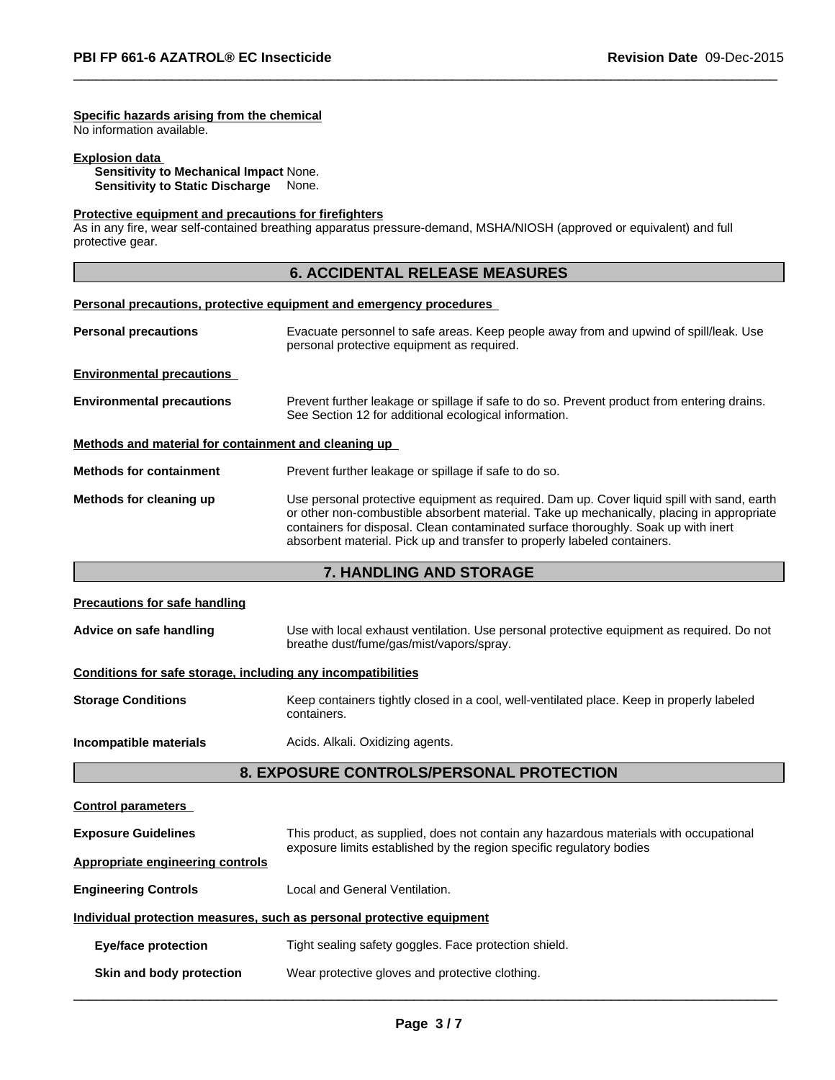#### **Specific hazards arising from the chemical**

No information available.

#### **Explosion data**

**Sensitivity to Mechanical Impact** None. **Sensitivity to Static Discharge** None.

#### **Protective equipment and precautions for firefighters**

As in any fire, wear self-contained breathing apparatus pressure-demand, MSHA/NIOSH (approved or equivalent) and full protective gear.

#### **6. ACCIDENTAL RELEASE MEASURES**

 $\overline{\phantom{a}}$  ,  $\overline{\phantom{a}}$  ,  $\overline{\phantom{a}}$  ,  $\overline{\phantom{a}}$  ,  $\overline{\phantom{a}}$  ,  $\overline{\phantom{a}}$  ,  $\overline{\phantom{a}}$  ,  $\overline{\phantom{a}}$  ,  $\overline{\phantom{a}}$  ,  $\overline{\phantom{a}}$  ,  $\overline{\phantom{a}}$  ,  $\overline{\phantom{a}}$  ,  $\overline{\phantom{a}}$  ,  $\overline{\phantom{a}}$  ,  $\overline{\phantom{a}}$  ,  $\overline{\phantom{a}}$ 

# **Personal precautions, protective equipment and emergency procedures Personal precautions** Evacuate personnel to safe areas. Keep people away from and upwind of spill/leak. Use personal protective equipment as required. **Environmental precautions Environmental precautions** Prevent further leakage or spillage if safe to do so. Prevent product from entering drains. See Section 12 for additional ecological information. **Methods and material for containment and cleaning up Methods for containment** Prevent further leakage or spillage if safe to do so. **Methods for cleaning up** Use personal protective equipment as required. Dam up. Cover liquid spill with sand, earth or other non-combustible absorbent material. Take up mechanically, placing in appropriate containers for disposal. Clean contaminated surface thoroughly. Soak up with inert absorbent material. Pick up and transfer to properly labeled containers.

#### **7. HANDLING AND STORAGE**

| <b>Precautions for safe handling</b>                                  |                                                                                                                                       |  |  |
|-----------------------------------------------------------------------|---------------------------------------------------------------------------------------------------------------------------------------|--|--|
| Advice on safe handling                                               | Use with local exhaust ventilation. Use personal protective equipment as required. Do not<br>breathe dust/fume/gas/mist/vapors/spray. |  |  |
| Conditions for safe storage, including any incompatibilities          |                                                                                                                                       |  |  |
| <b>Storage Conditions</b>                                             | Keep containers tightly closed in a cool, well-ventilated place. Keep in properly labeled<br>containers.                              |  |  |
| Incompatible materials                                                | Acids. Alkali. Oxidizing agents.                                                                                                      |  |  |
|                                                                       | 8. EXPOSURE CONTROLS/PERSONAL PROTECTION                                                                                              |  |  |
| <b>Control parameters</b>                                             |                                                                                                                                       |  |  |
| <b>Exposure Guidelines</b>                                            | This product, as supplied, does not contain any hazardous materials with occupational                                                 |  |  |
| <b>Appropriate engineering controls</b>                               | exposure limits established by the region specific regulatory bodies                                                                  |  |  |
| <b>Engineering Controls</b>                                           | Local and General Ventilation.                                                                                                        |  |  |
| Individual protection measures, such as personal protective equipment |                                                                                                                                       |  |  |
| <b>Eye/face protection</b>                                            | Tight sealing safety goggles. Face protection shield.                                                                                 |  |  |

| Skin and body protection | Wear protective gloves and protective clothing. |
|--------------------------|-------------------------------------------------|
|--------------------------|-------------------------------------------------|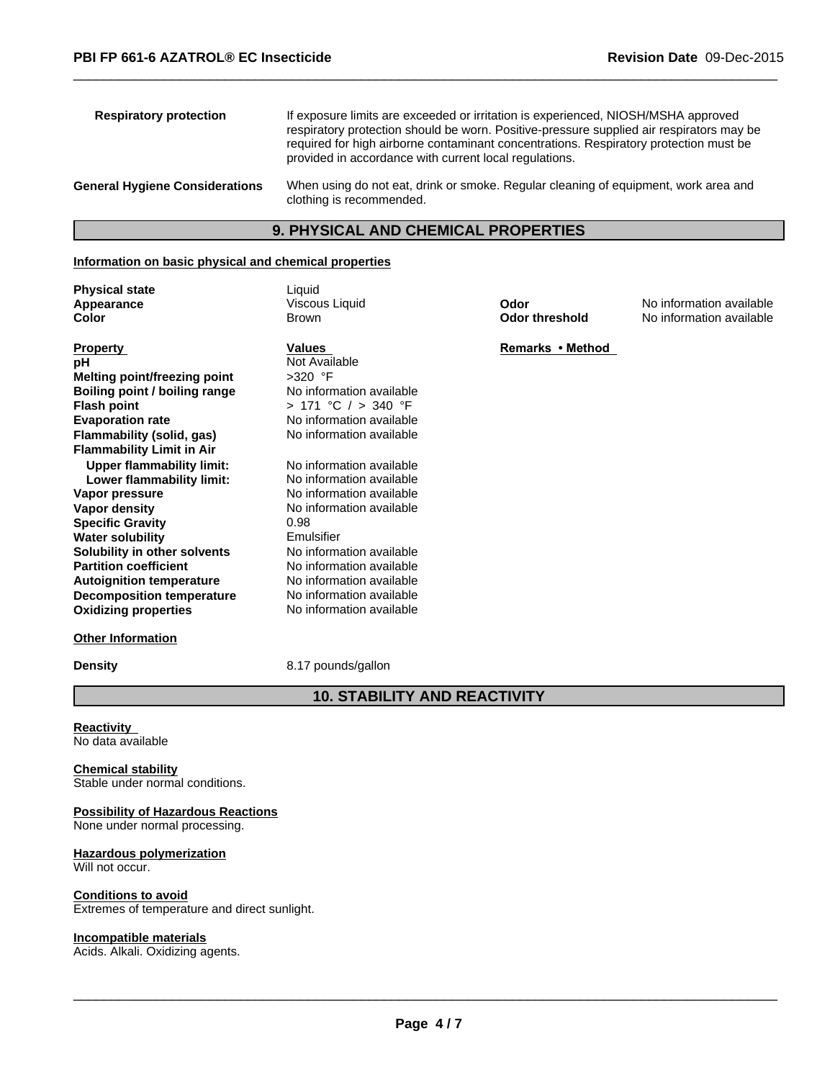| <b>Respiratory protection</b>         | If exposure limits are exceeded or irritation is experienced, NIOSH/MSHA approved<br>respiratory protection should be worn. Positive-pressure supplied air respirators may be<br>required for high airborne contaminant concentrations. Respiratory protection must be<br>provided in accordance with current local regulations. |
|---------------------------------------|----------------------------------------------------------------------------------------------------------------------------------------------------------------------------------------------------------------------------------------------------------------------------------------------------------------------------------|
| <b>General Hygiene Considerations</b> | When using do not eat, drink or smoke. Regular cleaning of equipment, work area and<br>clothing is recommended.                                                                                                                                                                                                                  |

 $\overline{\phantom{a}}$  ,  $\overline{\phantom{a}}$  ,  $\overline{\phantom{a}}$  ,  $\overline{\phantom{a}}$  ,  $\overline{\phantom{a}}$  ,  $\overline{\phantom{a}}$  ,  $\overline{\phantom{a}}$  ,  $\overline{\phantom{a}}$  ,  $\overline{\phantom{a}}$  ,  $\overline{\phantom{a}}$  ,  $\overline{\phantom{a}}$  ,  $\overline{\phantom{a}}$  ,  $\overline{\phantom{a}}$  ,  $\overline{\phantom{a}}$  ,  $\overline{\phantom{a}}$  ,  $\overline{\phantom{a}}$ 

#### **9. PHYSICAL AND CHEMICAL PROPERTIES**

#### **Information on basic physical and chemical properties**

Brown

Viscous Liquid

**Physical state** Liquid **Appearance Color**

| <b>Values</b>            |
|--------------------------|
| Not Available            |
| >320 °F                  |
| No information available |
| > 171 °C / > 340 °F      |
| No information available |
| No information available |
|                          |
| No information available |
| No information available |
| No information available |
| No information available |
| 0.98                     |
| Emulsifier               |
| No information available |
| No information available |
| No information available |
| No information available |
| No information available |
|                          |

**Density** 8.17 pounds/gallon

**10. STABILITY AND REACTIVITY**

**Reactivity**  No data available

**Other Information**

#### **Chemical stability** Stable under normal conditions.

#### **Possibility of Hazardous Reactions** None under normal processing.

**Hazardous polymerization** Will not occur.

#### **Conditions to avoid** Extremes of temperature and direct sunlight.

#### **Incompatible materials**

Acids. Alkali. Oxidizing agents.

**Odor threshold Odor**

No information available No information available

**Remarks•Method**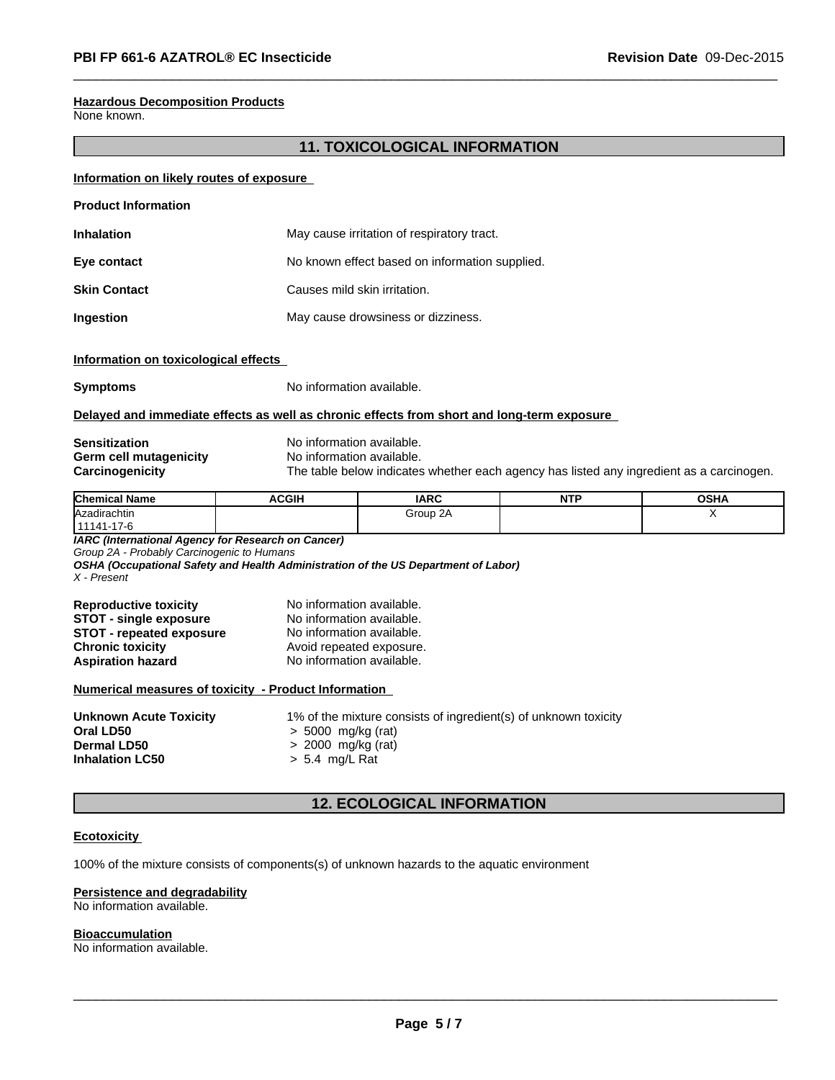#### **Hazardous Decomposition Products**

None known.

#### **11. TOXICOLOGICAL INFORMATION**

 $\overline{\phantom{a}}$  ,  $\overline{\phantom{a}}$  ,  $\overline{\phantom{a}}$  ,  $\overline{\phantom{a}}$  ,  $\overline{\phantom{a}}$  ,  $\overline{\phantom{a}}$  ,  $\overline{\phantom{a}}$  ,  $\overline{\phantom{a}}$  ,  $\overline{\phantom{a}}$  ,  $\overline{\phantom{a}}$  ,  $\overline{\phantom{a}}$  ,  $\overline{\phantom{a}}$  ,  $\overline{\phantom{a}}$  ,  $\overline{\phantom{a}}$  ,  $\overline{\phantom{a}}$  ,  $\overline{\phantom{a}}$ 

#### **Information on likely routes of exposure**

| <b>Product Information</b> |                                                |  |  |
|----------------------------|------------------------------------------------|--|--|
| <b>Inhalation</b>          | May cause irritation of respiratory tract.     |  |  |
| Eye contact                | No known effect based on information supplied. |  |  |
| <b>Skin Contact</b>        | Causes mild skin irritation.                   |  |  |
| Ingestion                  | May cause drowsiness or dizziness.             |  |  |

#### **Information on toxicological effects**

**Symptoms** No information available.

#### **Delayed and immediate effects as well as chronic effects from short and long-term exposure**

# **Sensitization**<br> **Serm cell mutagenicity**<br> **No information available. Germ cell mutagenicity** No information available.<br> **Carcinogenicity** The table below indicates

The table below indicates whether each agency has listed any ingredient as a carcinogen.

| <b>Chemical Name</b> | <b>ACGIH</b> | <b>IARC</b> | <b>NITI</b><br>. | <b>OSHA</b> |
|----------------------|--------------|-------------|------------------|-------------|
| Azadirachtin         |              | Group 2A    |                  |             |
| 111141-17-6          |              |             |                  |             |

*IARC (International Agency for Research on Cancer)*

*Group 2A - Probably Carcinogenic to Humans*

*OSHA (Occupational Safety and Health Administration of the US Department of Labor) X - Present*

| <b>Reproductive toxicity</b>    | No information available. |
|---------------------------------|---------------------------|
| <b>STOT - single exposure</b>   | No information available. |
| <b>STOT - repeated exposure</b> | No information available. |
| <b>Chronic toxicity</b>         | Avoid repeated exposure.  |
| <b>Aspiration hazard</b>        | No information available. |

#### **Numerical measures of toxicity - Product Information**

| <b>Unknown Acute Toxicity</b> | 1% of the mixture consists of ingredient(s) of unknown toxicity |
|-------------------------------|-----------------------------------------------------------------|
| Oral LD50                     | > 5000 mg/kg (rat)                                              |
| <b>Dermal LD50</b>            | $> 2000$ mg/kg (rat)                                            |
| <b>Inhalation LC50</b>        | > 5.4 mg/L Rat                                                  |
|                               |                                                                 |

#### **12. ECOLOGICAL INFORMATION**

#### **Ecotoxicity**

100% of the mixture consists of components(s) of unknown hazards to the aquatic environment

#### **Persistence and degradability**

No information available.

#### **Bioaccumulation**

No information available.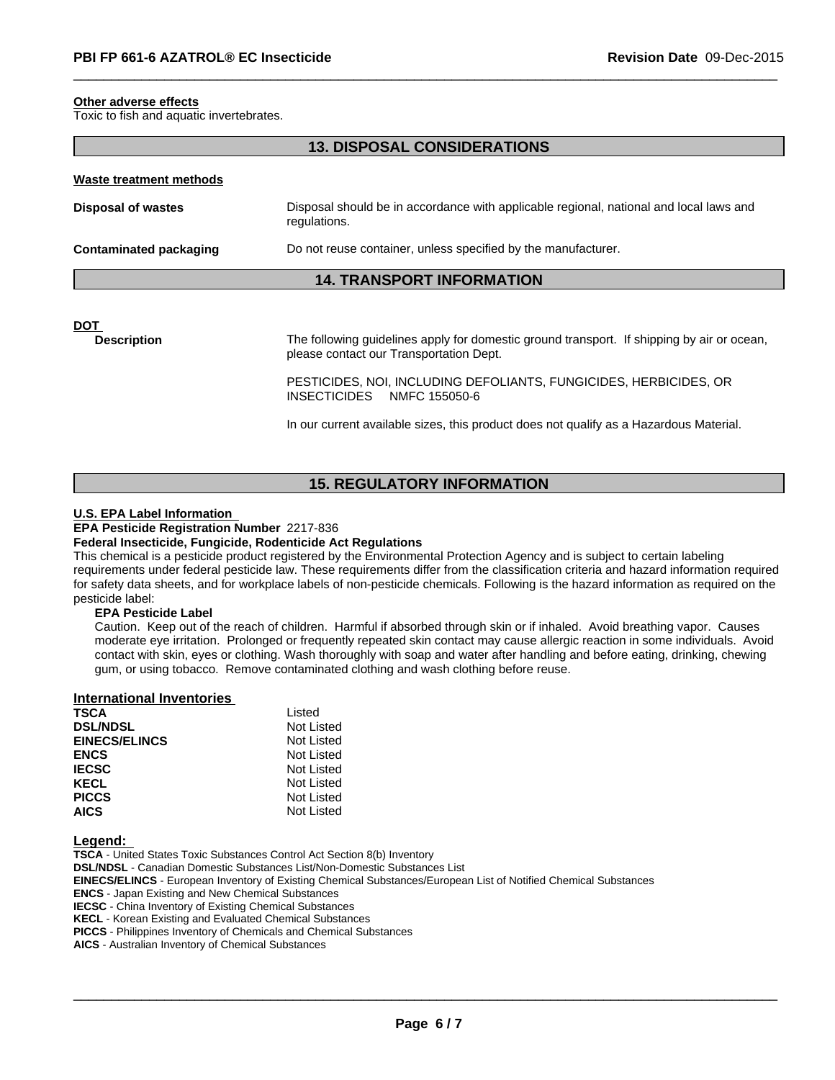#### **Other adverse effects**

Toxic to fish and aquatic invertebrates.

#### **13. DISPOSAL CONSIDERATIONS**

# **Waste treatment methods Disposal of wastes Disposal should be in accordance with applicable regional, national and local laws and <b>Disposal** should be in accordance with applicable regional, national and local laws and regulations. **Contaminated packaging Do not reuse container, unless specified by the manufacturer.**

#### **14. TRANSPORT INFORMATION**

**DOT** 

**Description** The following guidelines apply for domestic ground transport. If shipping by air or ocean, please contact our Transportation Dept.

> PESTICIDES, NOI, INCLUDING DEFOLIANTS, FUNGICIDES, HERBICIDES, OR INSECTICIDES NMFC 155050-6

 $\overline{\phantom{a}}$  ,  $\overline{\phantom{a}}$  ,  $\overline{\phantom{a}}$  ,  $\overline{\phantom{a}}$  ,  $\overline{\phantom{a}}$  ,  $\overline{\phantom{a}}$  ,  $\overline{\phantom{a}}$  ,  $\overline{\phantom{a}}$  ,  $\overline{\phantom{a}}$  ,  $\overline{\phantom{a}}$  ,  $\overline{\phantom{a}}$  ,  $\overline{\phantom{a}}$  ,  $\overline{\phantom{a}}$  ,  $\overline{\phantom{a}}$  ,  $\overline{\phantom{a}}$  ,  $\overline{\phantom{a}}$ 

In our current available sizes, this product does not qualify as a Hazardous Material.

#### **15. REGULATORY INFORMATION**

#### **U.S. EPA Label Information**

#### **EPA Pesticide Registration Number** 2217-836

#### **Federal Insecticide, Fungicide, Rodenticide Act Regulations**

This chemical is a pesticide product registered by the Environmental Protection Agency and is subject to certain labeling requirements under federal pesticide law. These requirements differ from the classification criteria and hazard information required for safety data sheets, and for workplace labels of non-pesticide chemicals. Following is the hazard information as required on the pesticide label:

#### **EPA Pesticide Label**

Caution. Keep out of the reach of children. Harmful if absorbed through skin or if inhaled. Avoid breathing vapor. Causes moderate eye irritation. Prolonged or frequently repeated skin contact may cause allergic reaction in some individuals. Avoid contact with skin, eyes or clothing. Wash thoroughly with soap and water after handling and before eating, drinking, chewing gum, or using tobacco. Remove contaminated clothing and wash clothing before reuse.

#### **International Inventories**

| <b>TSCA</b>          | Listed     |
|----------------------|------------|
| <b>DSL/NDSL</b>      | Not Listed |
| <b>EINECS/ELINCS</b> | Not Listed |
| <b>ENCS</b>          | Not Listed |
| <b>IECSC</b>         | Not Listed |
| <b>KECL</b>          | Not Listed |
| <b>PICCS</b>         | Not Listed |
| <b>AICS</b>          | Not Listed |

**Legend:** 

**TSCA** - United States Toxic Substances Control Act Section 8(b) Inventory **DSL/NDSL** - Canadian Domestic Substances List/Non-Domestic Substances List **EINECS/ELINCS** - European Inventory of Existing Chemical Substances/European List of Notified Chemical Substances **ENCS** - Japan Existing and New Chemical Substances **IECSC** - China Inventory of Existing Chemical Substances **KECL** - Korean Existing and Evaluated Chemical Substances **PICCS** - Philippines Inventory of Chemicals and Chemical Substances **AICS** - Australian Inventory of Chemical Substances